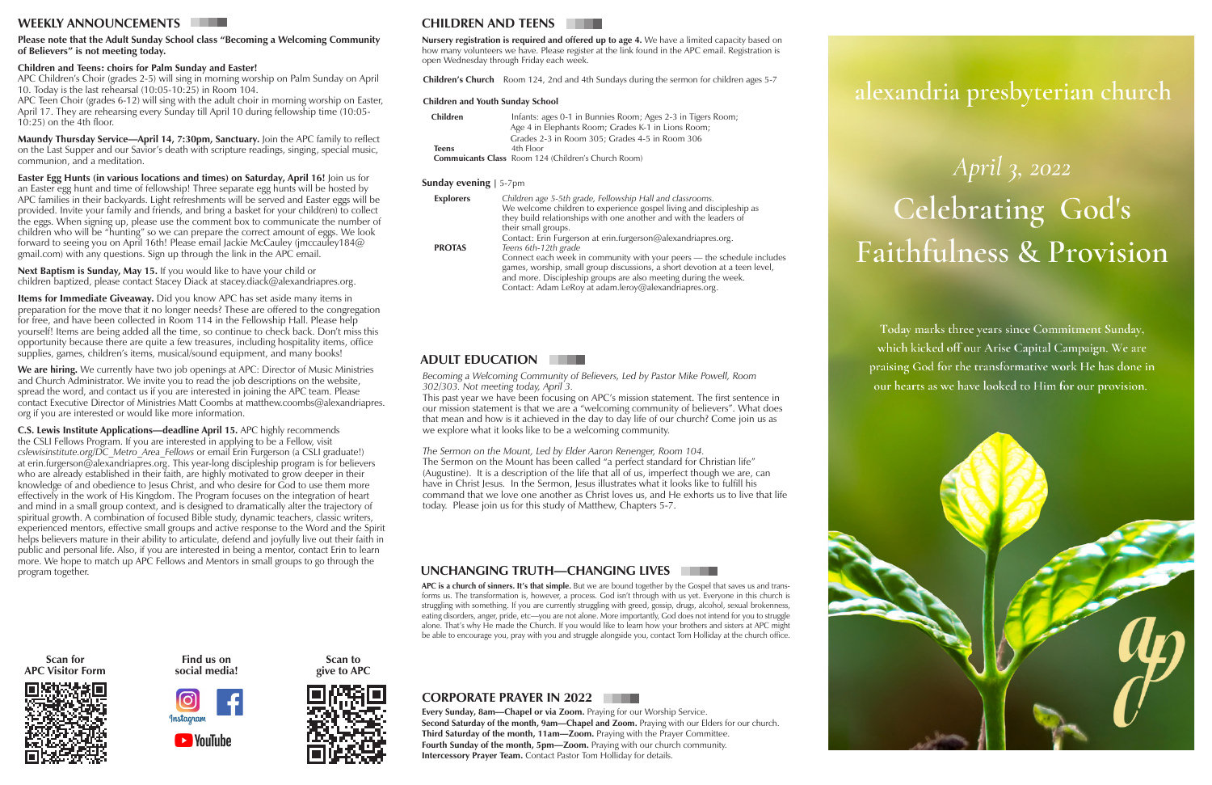## **WEEKLY ANNOUNCEMENTS**

# **ADULT EDUCATION**

*Becoming a Welcoming Community of Believers, Led by Pastor Mike Powell, Room 302/303. Not meeting today, April 3.*

This past year we have been focusing on APC's mission statement. The first sentence in our mission statement is that we are a "welcoming community of believers". What does that mean and how is it achieved in the day to day life of our church? Come join us as we explore what it looks like to be a welcoming community.

*The Sermon on the Mount, Led by Elder Aaron Renenger, Room 104.* The Sermon on the Mount has been called "a perfect standard for Christian life" (Augustine). It is a description of the life that all of us, imperfect though we are, can have in Christ Jesus. In the Sermon, Jesus illustrates what it looks like to fulfill his command that we love one another as Christ loves us, and He exhorts us to live that life today. Please join us for this study of Matthew, Chapters 5-7.

#### **Please note that the Adult Sunday School class "Becoming a Welcoming Community of Believers" is not meeting today.**

## **Children and Teens: choirs for Palm Sunday and Easter!**

**Easter Egg Hunts (in various locations and times) on Saturday, April 16!** Join us for an Easter egg hunt and time of fellowship! Three separate egg hunts will be hosted by APC families in their backyards. Light refreshments will be served and Easter eggs will be provided. Invite your family and friends, and bring a basket for your child(ren) to collect the eggs. When signing up, please use the comment box to communicate the number of children who will be "hunting" so we can prepare the correct amount of eggs. We look forward to seeing you on April 16th! Please email Jackie McCauley (jmccauley184@ gmail.com) with any questions. Sign up through the link in the APC email.

APC Children's Choir (grades 2-5) will sing in morning worship on Palm Sunday on April 10. Today is the last rehearsal (10:05-10:25) in Room 104.

APC Teen Choir (grades 6-12) will sing with the adult choir in morning worship on Easter, April 17. They are rehearsing every Sunday till April 10 during fellowship time (10:05- 10:25) on the 4th floor.

**Maundy Thursday Service—April 14, 7:30pm, Sanctuary.** Join the APC family to reflect on the Last Supper and our Savior's death with scripture readings, singing, special music, communion, and a meditation.

**Next Baptism is Sunday, May 15.** If you would like to have your child or children baptized, please contact Stacey Diack at stacey.diack@alexandriapres.org.

**Items for Immediate Giveaway.** Did you know APC has set aside many items in preparation for the move that it no longer needs? These are offered to the congregation for free, and have been collected in Room 114 in the Fellowship Hall. Please help yourself! Items are being added all the time, so continue to check back. Don't miss this opportunity because there are quite a few treasures, including hospitality items, office supplies, games, children's items, musical/sound equipment, and many books!

> **Every Sunday, 8am—Chapel or via Zoom.** Praying for our Worship Service. **Second Saturday of the month, 9am—Chapel and Zoom.** Praying with our Elders for our church. **Third Saturday of the month, 11am—Zoom.** Praying with the Prayer Committee. **Fourth Sunday of the month, 5pm—Zoom.** Praying with our church community. **Intercessory Prayer Team.** Contact Pastor Tom Holliday for details.



# alexandria presbyterian church

# April 3, 2022 Celebrating God's **Faithfulness & Provision**

Today marks three years since Commitment Sunday, which kicked off our Arise Capital Campaign. We are praising God for the transformative work He has done in our hearts as we have looked to Him for our provision.

**We are hiring.** We currently have two job openings at APC: Director of Music Ministries and Church Administrator. We invite you to read the job descriptions on the website, spread the word, and contact us if you are interested in joining the APC team. Please contact Executive Director of Ministries Matt Coombs at matthew.coombs@alexandriapres. org if you are interested or would like more information.

**C.S. Lewis Institute Applications—deadline April 15.** APC highly recommends the CSLI Fellows Program. If you are interested in applying to be a Fellow, visit *cslewisinstitute.org/DC\_Metro\_Area\_Fellows* or email Erin Furgerson (a CSLI graduate!) at erin.furgerson@alexandriapres.org. This year-long discipleship program is for believers who are already established in their faith, are highly motivated to grow deeper in their knowledge of and obedience to Jesus Christ, and who desire for God to use them more effectively in the work of His Kingdom. The Program focuses on the integration of heart and mind in a small group context, and is designed to dramatically alter the trajectory of spiritual growth. A combination of focused Bible study, dynamic teachers, classic writers, experienced mentors, effective small groups and active response to the Word and the Spirit helps believers mature in their ability to articulate, defend and joyfully live out their faith in public and personal life. Also, if you are interested in being a mentor, contact Erin to learn more. We hope to match up APC Fellows and Mentors in small groups to go through the program together.

# **CHILDREN AND TEENS**

| <b>Children</b> | Infants: ages 0-1 in Bunnies Room; Ages 2-3 in Tigers Room; |
|-----------------|-------------------------------------------------------------|
|                 | Age 4 in Elephants Room; Grades K-1 in Lions Room;          |
|                 | Grades 2-3 in Room 305; Grades 4-5 in Room 306              |
| Teens           | 4th Floor                                                   |
|                 | <b>Commuicants Class</b> Room 124 (Children's Church Room)  |
|                 |                                                             |

#### **Sunday evening** | 5-7pm

**Children's Church** Room 124, 2nd and 4th Sundays during the sermon for children ages 5-7

| <b>Explorers</b> | Children age 5-5th grade, Fellowship Hall and classrooms.<br>We welcome children to experience gospel living and discipleship as<br>they build relationships with one another and with the leaders of<br>their small groups.                                                     |
|------------------|----------------------------------------------------------------------------------------------------------------------------------------------------------------------------------------------------------------------------------------------------------------------------------|
| <b>PROTAS</b>    | Contact: Erin Furgerson at erin.furgerson@alexandriapres.org.<br>Teens 6th-12th grade                                                                                                                                                                                            |
|                  | Connect each week in community with your peers - the schedule includes<br>games, worship, small group discussions, a short devotion at a teen level,<br>and more. Discipleship groups are also meeting during the week.<br>Contact: Adam LeRoy at adam.leroy@alexandriapres.org. |

**Nursery registration is required and offered up to age 4.** We have a limited capacity based on how many volunteers we have. Please register at the link found in the APC email. Registration is open Wednesday through Friday each week.

#### **Children and Youth Sunday School**

**Scan to give to APC**



## **CORPORATE PRAYER IN 2022**

**APC is a church of sinners. It's that simple.** But we are bound together by the Gospel that saves us and transforms us. The transformation is, however, a process. God isn't through with us yet. Everyone in this church is struggling with something. If you are currently struggling with greed, gossip, drugs, alcohol, sexual brokenness, eating disorders, anger, pride, etc—you are not alone. More importantly, God does not intend for you to struggle alone. That's why He made the Church. If you would like to learn how your brothers and sisters at APC might be able to encourage you, pray with you and struggle alongside you, contact Tom Holliday at the church office.

# **UNCHANGING TRUTH—CHANGING LIVES**







**Find us on social media!**